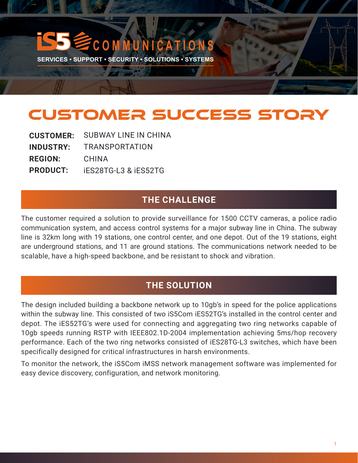# CUSTOMER SUCCESS STORY

**M M U N I C A T I O N** 

**SERVICES • SUPPORT • SECURITY • SOLUTIONS • SYSTEMS** 

EN WHO AN

| <b>CUSTOMER:</b> | <b>SUBWAY LINE IN CHINA</b>     |
|------------------|---------------------------------|
| <b>INDUSTRY:</b> | <b>TRANSPORTATION</b>           |
| <b>REGION:</b>   | CHINA                           |
| <b>PRODUCT:</b>  | <b>iES28TG-L3 &amp; iES52TG</b> |

## **THE CHALLENGE**

The customer required a solution to provide surveillance for 1500 CCTV cameras, a police radio communication system, and access control systems for a major subway line in China. The subway line is 32km long with 19 stations, one control center, and one depot. Out of the 19 stations, eight are underground stations, and 11 are ground stations. The communications network needed to be scalable, have a high-speed backbone, and be resistant to shock and vibration.

# **THE SOLUTION**

The design included building a backbone network up to 10gb's in speed for the police applications within the subway line. This consisted of two iS5Com iES52TG's installed in the control center and depot. The iES52TG's were used for connecting and aggregating two ring networks capable of 10gb speeds running RSTP with IEEE802.1D-2004 implementation achieving 5ms/hop recovery performance. Each of the two ring networks consisted of iES28TG-L3 switches, which have been specifically designed for critical infrastructures in harsh environments.

To monitor the network, the iS5Com iMSS network management software was implemented for easy device discovery, configuration, and network monitoring.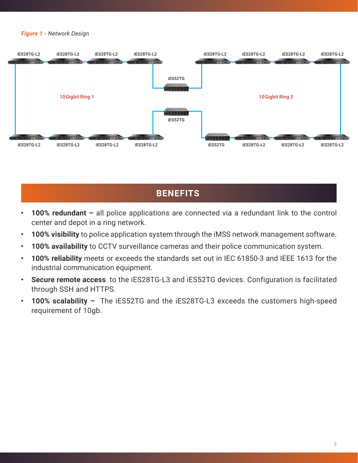#### *Figure 1* **-** *Network Design*



# **BENEFITS**

- **• 100% redundant –** all police applications are connected via a redundant link to the control center and depot in a ring network.
- **• 100% visibility** to police application system through the iMSS network management software.
- **• 100% availability** to CCTV surveillance cameras and their police communication system.
- **• 100% reliability** meets or exceeds the standards set out in IEC 61850-3 and IEEE 1613 for the industrial communication equipment.
- **• Secure remote access** to the iES28TG-L3 and iES52TG devices. Configuration is facilitated through SSH and HTTPS.
- **• 100% scalability** The iES52TG and the iES28TG-L3 exceeds the customers high-speed requirement of 10gb.